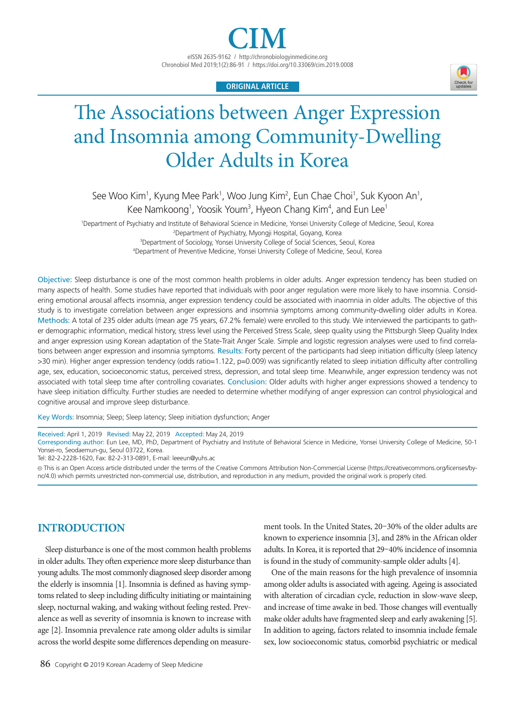eISSN 2635-9162 / http://chronobiologyinmedicine.org Chronobiol Med 2019;1(2):86-91 / https://doi.org/10.33069/cim.2019.0008

**ORIGINAL ARTICLE**

# The Associations between Anger Expression and Insomnia among Community-Dwelling Older Adults in Korea

See Woo Kim<sup>1</sup>, Kyung Mee Park<sup>1</sup>, Woo Jung Kim<sup>2</sup>, Eun Chae Choi<sup>1</sup>, Suk Kyoon An<sup>1</sup>, Kee Namkoong<sup>1</sup>, Yoosik Youm<sup>3</sup>, Hyeon Chang Kim<sup>4</sup>, and Eun Lee<sup>1</sup>

1 Department of Psychiatry and Institute of Behavioral Science in Medicine, Yonsei University College of Medicine, Seoul, Korea 2 Department of Psychiatry, Myongji Hospital, Goyang, Korea <sup>3</sup>Department of Sociology, Yonsei University College of Social Sciences, Seoul, Korea

4 Department of Preventive Medicine, Yonsei University College of Medicine, Seoul, Korea

Objective: Sleep disturbance is one of the most common health problems in older adults. Anger expression tendency has been studied on many aspects of health. Some studies have reported that individuals with poor anger regulation were more likely to have insomnia. Considering emotional arousal affects insomnia, anger expression tendency could be associated with inaomnia in older adults. The objective of this study is to investigate correlation between anger expressions and insomnia symptoms among community-dwelling older adults in Korea. Methods: A total of 235 older adults (mean age 75 years, 67.2% female) were enrolled to this study. We interviewed the participants to gather demographic information, medical history, stress level using the Perceived Stress Scale, sleep quality using the Pittsburgh Sleep Quality Index and anger expression using Korean adaptation of the State-Trait Anger Scale. Simple and logistic regression analyses were used to find correlations between anger expression and insomnia symptoms. Results: Forty percent of the participants had sleep initiation difficulty (sleep latency >30 min). Higher anger expression tendency (odds ratio=1.122, p=0.009) was significantly related to sleep initiation difficulty after controlling age, sex, education, socioeconomic status, perceived stress, depression, and total sleep time. Meanwhile, anger expression tendency was not associated with total sleep time after controlling covariates. Conclusion: Older adults with higher anger expressions showed a tendency to have sleep initiation difficulty. Further studies are needed to determine whether modifying of anger expression can control physiological and cognitive arousal and improve sleep disturbance.

Key Words: Insomnia; Sleep; Sleep latency; Sleep initiation dysfunction; Anger

Received: April 1, 2019 Revised: May 22, 2019 Accepted: May 24, 2019

Corresponding author: Eun Lee, MD, PhD, Department of Psychiatry and Institute of Behavioral Science in Medicine, Yonsei University College of Medicine, 50-1 Yonsei-ro, Seodaemun-gu, Seoul 03722, Korea.

Tel: 82-2-2228-1620, Fax: 82-2-313-0891, E-mail: leeeun@yuhs.ac

cc This is an Open Access article distributed under the terms of the Creative Commons Attribution Non-Commercial License (https://creativecommons.org/licenses/bync/4.0) which permits unrestricted non-commercial use, distribution, and reproduction in any medium, provided the original work is properly cited.

# **INTRODUCTION**

Sleep disturbance is one of the most common health problems in older adults. They often experience more sleep disturbance than young adults. The most commonly diagnosed sleep disorder among the elderly is insomnia [1]. Insomnia is defined as having symptoms related to sleep including difficulty initiating or maintaining sleep, nocturnal waking, and waking without feeling rested. Prevalence as well as severity of insomnia is known to increase with age [2]. Insomnia prevalence rate among older adults is similar across the world despite some differences depending on measurement tools. In the United States, 20–30% of the older adults are known to experience insomnia [3], and 28% in the African older adults. In Korea, it is reported that 29–40% incidence of insomnia is found in the study of community-sample older adults [4].

One of the main reasons for the high prevalence of insomnia among older adults is associated with ageing. Ageing is associated with alteration of circadian cycle, reduction in slow-wave sleep, and increase of time awake in bed. Those changes will eventually make older adults have fragmented sleep and early awakening [5]. In addition to ageing, factors related to insomnia include female sex, low socioeconomic status, comorbid psychiatric or medical

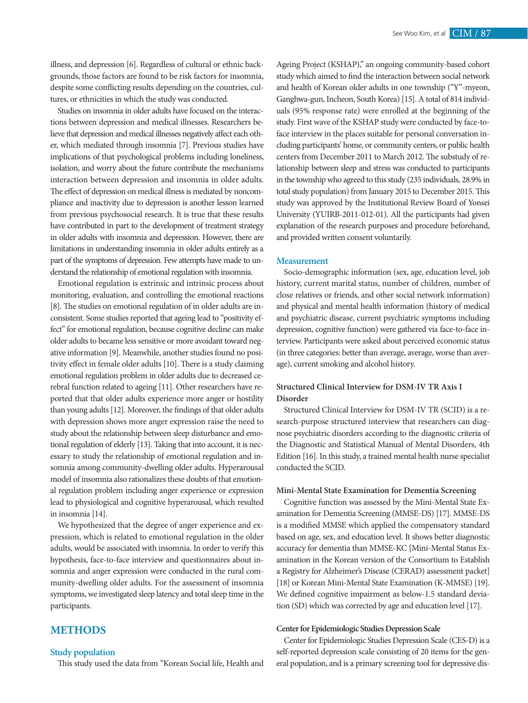illness, and depression [6]. Regardless of cultural or ethnic backgrounds, those factors are found to be risk factors for insomnia, despite some conflicting results depending on the countries, cultures, or ethnicities in which the study was conducted.

Studies on insomnia in older adults have focused on the interactions between depression and medical illnesses. Researchers believe that depression and medical illnesses negatively affect each other, which mediated through insomnia [7]. Previous studies have implications of that psychological problems including loneliness, isolation, and worry about the future contribute the mechanisms interaction between depression and insomnia in older adults. The effect of depression on medical illness is mediated by noncompliance and inactivity due to depression is another lesson learned from previous psychosocial research. It is true that these results have contributed in part to the development of treatment strategy in older adults with insomnia and depression. However, there are limitations in understanding insomnia in older adults entirely as a part of the symptoms of depression. Few attempts have made to understand the relationship of emotional regulation with insomnia.

Emotional regulation is extrinsic and intrinsic process about monitoring, evaluation, and controlling the emotional reactions [8]. The studies on emotional regulation of in older adults are inconsistent. Some studies reported that ageing lead to "positivity effect" for emotional regulation, because cognitive decline can make older adults to became less sensitive or more avoidant toward negative information [9]. Meanwhile, another studies found no positivity effect in female older adults [10]. There is a study claiming emotional regulation problem in older adults due to decreased cerebral function related to ageing [11]. Other researchers have reported that that older adults experience more anger or hostility than young adults [12]. Moreover, the findings of that older adults with depression shows more anger expression raise the need to study about the relationship between sleep disturbance and emotional regulation of elderly [13]. Taking that into account, it is necessary to study the relationship of emotional regulation and insomnia among community-dwelling older adults. Hyperarousal model of insomnia also rationalizes these doubts of that emotional regulation problem including anger experience or expression lead to physiological and cognitive hyperarousal, which resulted in insomnia [14].

We hypothesized that the degree of anger experience and expression, which is related to emotional regulation in the older adults, would be associated with insomnia. In order to verify this hypothesis, face-to-face interview and questionnaires about insomnia and anger expression were conducted in the rural community-dwelling older adults. For the assessment of insomnia symptoms, we investigated sleep latency and total sleep time in the participants.

### **METHODS**

### **Study population**

This study used the data from "Korean Social life, Health and

Ageing Project (KSHAP)," an ongoing community-based cohort study which aimed to find the interaction between social network and health of Korean older adults in one township ("Y"-myeon, Ganghwa-gun, Incheon, South Korea) [15]. A total of 814 individuals (95% response rate) were enrolled at the beginning of the study. First wave of the KSHAP study were conducted by face-toface interview in the places suitable for personal conversation including participants' home, or community centers, or public health centers from December 2011 to March 2012. The substudy of relationship between sleep and stress was conducted to participants in the township who agreed to this study (235 individuals, 28.9% in total study population) from January 2015 to December 2015. This study was approved by the Institutional Review Board of Yonsei University (YUIRB-2011-012-01). All the participants had given explanation of the research purposes and procedure beforehand, and provided written consent voluntarily.

### **Measurement**

Socio-demographic information (sex, age, education level, job history, current marital status, number of children, number of close relatives or friends, and other social network information) and physical and mental health information (history of medical and psychiatric disease, current psychiatric symptoms including depression, cognitive function) were gathered via face-to-face interview. Participants were asked about perceived economic status (in three categories: better than average, average, worse than average), current smoking and alcohol history.

### **Structured Clinical Interview for DSM-IV TR Axis I Disorder**

Structured Clinical Interview for DSM-IV TR (SCID) is a research-purpose structured interview that researchers can diagnose psychiatric disorders according to the diagnostic criteria of the Diagnostic and Statistical Manual of Mental Disorders, 4th Edition [16]. In this study, a trained mental health nurse specialist conducted the SCID.

### **Mini-Mental State Examination for Dementia Screening**

Cognitive function was assessed by the Mini-Mental State Examination for Dementia Screening (MMSE-DS) [17]. MMSE-DS is a modified MMSE which applied the compensatory standard based on age, sex, and education level. It shows better diagnostic accuracy for dementia than MMSE-KC [Mini-Mental Status Examination in the Korean version of the Consortium to Establish a Registry for Alzheimer's Disease (CERAD) assessment packet] [18] or Korean Mini-Mental State Examination (K-MMSE) [19]. We defined cognitive impairment as below-1.5 standard deviation (SD) which was corrected by age and education level [17].

### **Center for Epidemiologic Studies Depression Scale**

Center for Epidemiologic Studies Depression Scale (CES-D) is a self-reported depression scale consisting of 20 items for the general population, and is a primary screening tool for depressive dis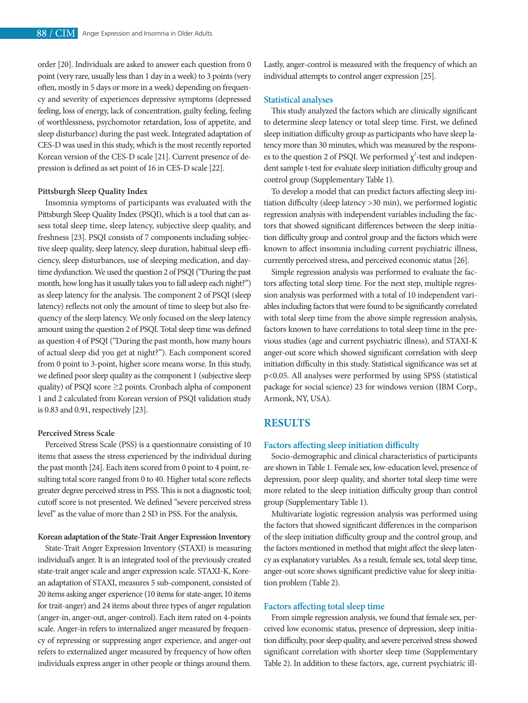order [20]. Individuals are asked to answer each question from 0 point (very rare, usually less than 1 day in a week) to 3 points (very often, mostly in 5 days or more in a week) depending on frequency and severity of experiences depressive symptoms (depressed feeling, loss of energy, lack of concentration, guilty feeling, feeling of worthlessness, psychomotor retardation, loss of appetite, and sleep disturbance) during the past week. Integrated adaptation of CES-D was used in this study, which is the most recently reported Korean version of the CES-D scale [21]. Current presence of depression is defined as set point of 16 in CES-D scale [22].

### **Pittsburgh Sleep Quality Index**

Insomnia symptoms of participants was evaluated with the Pittsburgh Sleep Quality Index (PSQI), which is a tool that can assess total sleep time, sleep latency, subjective sleep quality, and freshness [23]. PSQI consists of 7 components including subjective sleep quality, sleep latency, sleep duration, habitual sleep efficiency, sleep disturbances, use of sleeping medication, and daytime dysfunction. We used the question 2 of PSQI ("During the past month, how long has it usually takes you to fall asleep each night?") as sleep latency for the analysis. The component 2 of PSQI (sleep latency) reflects not only the amount of time to sleep but also frequency of the sleep latency. We only focused on the sleep latency amount using the question 2 of PSQI. Total sleep time was defined as question 4 of PSQI ("During the past month, how many hours of actual sleep did you get at night?"). Each component scored from 0 point to 3-point, higher score means worse. In this study, we defined poor sleep quality as the component 1 (subjective sleep quality) of PSQI score ≥2 points. Cronbach alpha of component 1 and 2 calculated from Korean version of PSQI validation study is 0.83 and 0.91, respectively [23].

### **Perceived Stress Scale**

Perceived Stress Scale (PSS) is a questionnaire consisting of 10 items that assess the stress experienced by the individual during the past month [24]. Each item scored from 0 point to 4 point, resulting total score ranged from 0 to 40. Higher total score reflects greater degree perceived stress in PSS. This is not a diagnostic tool; cutoff score is not presented. We defined "severe perceived stress level" as the value of more than 2 SD in PSS. For the analysis,

### **Korean adaptation of the State-Trait Anger Expression Inventory**

State-Trait Anger Expression Inventory (STAXI) is measuring individual's anger. It is an integrated tool of the previously created state-trait anger scale and anger expression scale. STAXI-K, Korean adaptation of STAXI, measures 5 sub-component, consisted of 20 items asking anger experience (10 items for state-anger, 10 items for trait-anger) and 24 items about three types of anger regulation (anger-in, anger-out, anger-control). Each item rated on 4-points scale. Anger-in refers to internalized anger measured by frequency of repressing or suppressing anger experience, and anger-out refers to externalized anger measured by frequency of how often individuals express anger in other people or things around them.

Lastly, anger-control is measured with the frequency of which an individual attempts to control anger expression [25].

### **Statistical analyses**

This study analyzed the factors which are clinically significant to determine sleep latency or total sleep time. First, we defined sleep initiation difficulty group as participants who have sleep latency more than 30 minutes, which was measured by the responses to the question 2 of PSQI. We performed  $\chi^2$ -test and independent sample t-test for evaluate sleep initiation difficulty group and control group (Supplementary Table 1).

To develop a model that can predict factors affecting sleep initiation difficulty (sleep latency >30 min), we performed logistic regression analysis with independent variables including the factors that showed significant differences between the sleep initiation difficulty group and control group and the factors which were known to affect insomnia including current psychiatric illness, currently perceived stress, and perceived economic status [26].

Simple regression analysis was performed to evaluate the factors affecting total sleep time. For the next step, multiple regression analysis was performed with a total of 10 independent variables including factors that were found to be significantly correlated with total sleep time from the above simple regression analysis, factors known to have correlations to total sleep time in the previous studies (age and current psychiatric illness), and STAXI-K anger-out score which showed significant correlation with sleep initiation difficulty in this study. Statistical significance was set at p<0.05. All analyses were performed by using SPSS (statistical package for social science) 23 for windows version (IBM Corp., Armonk, NY, USA).

### **RESULTS**

### **Factors affecting sleep initiation difficulty**

Socio-demographic and clinical characteristics of participants are shown in Table 1. Female sex, low-education level, presence of depression, poor sleep quality, and shorter total sleep time were more related to the sleep initiation difficulty group than control group (Supplementary Table 1).

Multivariate logistic regression analysis was performed using the factors that showed significant differences in the comparison of the sleep initiation difficulty group and the control group, and the factors mentioned in method that might affect the sleep latency as explanatory variables. As a result, female sex, total sleep time, anger-out score shows significant predictive value for sleep initiation problem (Table 2).

### **Factors affecting total sleep time**

From simple regression analysis, we found that female sex, perceived low economic status, presence of depression, sleep initiation difficulty, poor sleep quality, and severe perceived stress showed significant correlation with shorter sleep time (Supplementary Table 2). In addition to these factors, age, current psychiatric ill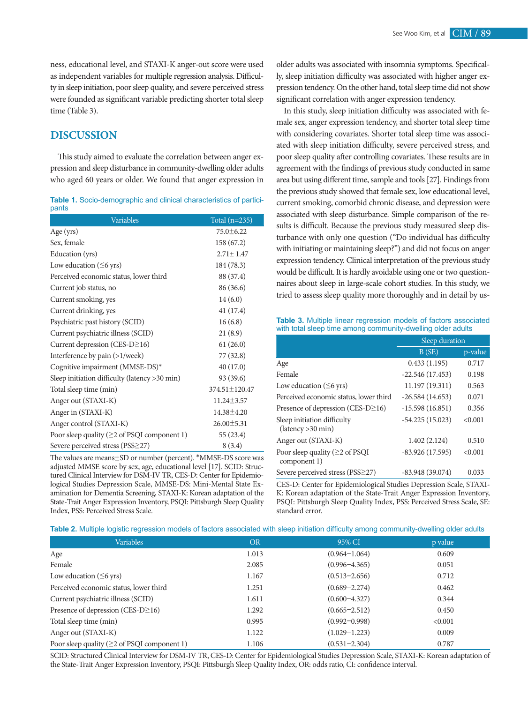ness, educational level, and STAXI-K anger-out score were used as independent variables for multiple regression analysis. Difficulty in sleep initiation, poor sleep quality, and severe perceived stress were founded as significant variable predicting shorter total sleep time (Table 3).

## **DISCUSSION**

This study aimed to evaluate the correlation between anger expression and sleep disturbance in community-dwelling older adults who aged 60 years or older. We found that anger expression in

|       | <b>Table 1.</b> Socio-demographic and clinical characteristics of partici- |  |  |  |
|-------|----------------------------------------------------------------------------|--|--|--|
| pants |                                                                            |  |  |  |

| Variables                                          | Total $(n=235)$  |
|----------------------------------------------------|------------------|
| Age (yrs)                                          | $75.0 \pm 6.22$  |
| Sex, female                                        | 158 (67.2)       |
| Education (yrs)                                    | $2.71 \pm 1.47$  |
| Low education $( \leq 6 \text{ yrs})$              | 184 (78.3)       |
| Perceived economic status, lower third             | 88 (37.4)        |
| Current job status, no                             | 86 (36.6)        |
| Current smoking, yes                               | 14(6.0)          |
| Current drinking, yes                              | 41 (17.4)        |
| Psychiatric past history (SCID)                    | 16(6.8)          |
| Current psychiatric illness (SCID)                 | 21(8.9)          |
| Current depression (CES-D≥16)                      | 61(26.0)         |
| Interference by pain (>1/week)                     | 77 (32.8)        |
| Cognitive impairment (MMSE-DS)*                    | 40 (17.0)        |
| Sleep initiation difficulty (latency >30 min)      | 93 (39.6)        |
| Total sleep time (min)                             | 374.51±120.47    |
| Anger out (STAXI-K)                                | $11.24 \pm 3.57$ |
| Anger in (STAXI-K)                                 | 14.38±4.20       |
| Anger control (STAXI-K)                            | $26.00 \pm 5.31$ |
| Poor sleep quality ( $\geq$ 2 of PSQI component 1) | 55 (23.4)        |
| Severe perceived stress (PSS≥27)                   | 8(3.4)           |

The values are means±SD or number (percent). \*MMSE-DS score was adjusted MMSE score by sex, age, educational level [17]. SCID: Structured Clinical Interview for DSM-IV TR, CES-D: Center for Epidemiological Studies Depression Scale, MMSE-DS: Mini-Mental State Examination for Dementia Screening, STAXI-K: Korean adaptation of the State-Trait Anger Expression Inventory, PSQI: Pittsburgh Sleep Quality Index, PSS: Perceived Stress Scale.

older adults was associated with insomnia symptoms. Specifically, sleep initiation difficulty was associated with higher anger expression tendency. On the other hand, total sleep time did not show significant correlation with anger expression tendency.

In this study, sleep initiation difficulty was associated with female sex, anger expression tendency, and shorter total sleep time with considering covariates. Shorter total sleep time was associated with sleep initiation difficulty, severe perceived stress, and poor sleep quality after controlling covariates. These results are in agreement with the findings of previous study conducted in same area but using different time, sample and tools [27]. Findings from the previous study showed that female sex, low educational level, current smoking, comorbid chronic disease, and depression were associated with sleep disturbance. Simple comparison of the results is difficult. Because the previous study measured sleep disturbance with only one question ("Do individual has difficulty with initiating or maintaining sleep?") and did not focus on anger expression tendency. Clinical interpretation of the previous study would be difficult. It is hardly avoidable using one or two questionnaires about sleep in large-scale cohort studies. In this study, we tried to assess sleep quality more thoroughly and in detail by us-

**Table 3.** Multiple linear regression models of factors associated with total sleep time among community-dwelling older adults

|                                                       | Sleep duration    |         |
|-------------------------------------------------------|-------------------|---------|
|                                                       | B(SE)             | p-value |
| Age                                                   | 0.433(1.195)      | 0.717   |
| Female                                                | $-22.546(17.453)$ | 0.198   |
| Low education $(\leq 6$ yrs)                          | 11.197 (19.311)   | 0.563   |
| Perceived economic status, lower third                | $-26.584(14.653)$ | 0.071   |
| Presence of depression (CES-D $\geq$ 16)              | $-15.598(16.851)$ | 0.356   |
| Sleep initiation difficulty<br>(latency > 30 min)     | $-54.225(15.023)$ | < 0.001 |
| Anger out (STAXI-K)                                   | 1.402(2.124)      | 0.510   |
| Poor sleep quality ( $\geq$ 2 of PSQI<br>component 1) | $-83.926(17.595)$ | < 0.001 |
| Severe perceived stress (PSS≥27)                      | $-83.948(39.074)$ | 0.033   |

CES-D: Center for Epidemiological Studies Depression Scale, STAXI-K: Korean adaptation of the State-Trait Anger Expression Inventory, PSQI: Pittsburgh Sleep Quality Index, PSS: Perceived Stress Scale, SE: standard error.

|  |  | Table 2. Multiple logistic regression models of factors associated with sleep initiation difficulty among community-dwelling older adults |
|--|--|-------------------------------------------------------------------------------------------------------------------------------------------|
|  |  |                                                                                                                                           |

| <b>Variables</b>                                   | <b>OR</b> | 95% CI            | p value |
|----------------------------------------------------|-----------|-------------------|---------|
| Age                                                | 1.013     | $(0.964 - 1.064)$ | 0.609   |
| Female                                             | 2.085     | $(0.996 - 4.365)$ | 0.051   |
| Low education $(\leq 6$ yrs)                       | 1.167     | $(0.513 - 2.656)$ | 0.712   |
| Perceived economic status, lower third             | 1.251     | $(0.689 - 2.274)$ | 0.462   |
| Current psychiatric illness (SCID)                 | 1.611     | $(0.600 - 4.327)$ | 0.344   |
| Presence of depression (CES-D $\geq$ 16)           | 1.292     | $(0.665 - 2.512)$ | 0.450   |
| Total sleep time (min)                             | 0.995     | $(0.992 - 0.998)$ | < 0.001 |
| Anger out (STAXI-K)                                | 1.122     | $(1.029 - 1.223)$ | 0.009   |
| Poor sleep quality ( $\geq$ 2 of PSQI component 1) | 1.106     | $(0.531 - 2.304)$ | 0.787   |

SCID: Structured Clinical Interview for DSM-IV TR, CES-D: Center for Epidemiological Studies Depression Scale, STAXI-K: Korean adaptation of the State-Trait Anger Expression Inventory, PSQI: Pittsburgh Sleep Quality Index, OR: odds ratio, CI: confidence interval.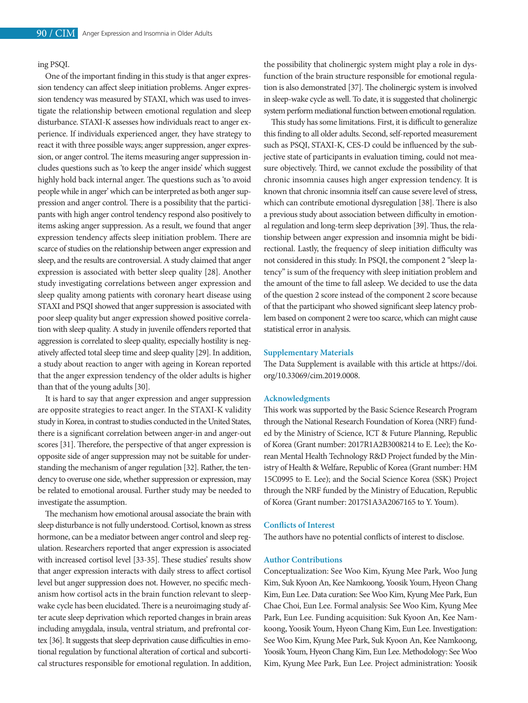### ing PSQI.

One of the important finding in this study is that anger expression tendency can affect sleep initiation problems. Anger expression tendency was measured by STAXI, which was used to investigate the relationship between emotional regulation and sleep disturbance. STAXI-K assesses how individuals react to anger experience. If individuals experienced anger, they have strategy to react it with three possible ways; anger suppression, anger expression, or anger control. The items measuring anger suppression includes questions such as 'to keep the anger inside' which suggest highly hold back internal anger. The questions such as 'to avoid people while in anger' which can be interpreted as both anger suppression and anger control. There is a possibility that the participants with high anger control tendency respond also positively to items asking anger suppression. As a result, we found that anger expression tendency affects sleep initiation problem. There are scarce of studies on the relationship between anger expression and sleep, and the results are controversial. A study claimed that anger expression is associated with better sleep quality [28]. Another study investigating correlations between anger expression and sleep quality among patients with coronary heart disease using STAXI and PSQI showed that anger suppression is associated with poor sleep quality but anger expression showed positive correlation with sleep quality. A study in juvenile offenders reported that aggression is correlated to sleep quality, especially hostility is negatively affected total sleep time and sleep quality [29]. In addition, a study about reaction to anger with ageing in Korean reported that the anger expression tendency of the older adults is higher than that of the young adults [30].

It is hard to say that anger expression and anger suppression are opposite strategies to react anger. In the STAXI-K validity study in Korea, in contrast to studies conducted in the United States, there is a significant correlation between anger-in and anger-out scores [31]. Therefore, the perspective of that anger expression is opposite side of anger suppression may not be suitable for understanding the mechanism of anger regulation [32]. Rather, the tendency to overuse one side, whether suppression or expression, may be related to emotional arousal. Further study may be needed to investigate the assumption.

The mechanism how emotional arousal associate the brain with sleep disturbance is not fully understood. Cortisol, known as stress hormone, can be a mediator between anger control and sleep regulation. Researchers reported that anger expression is associated with increased cortisol level [33-35]. These studies' results show that anger expression interacts with daily stress to affect cortisol level but anger suppression does not. However, no specific mechanism how cortisol acts in the brain function relevant to sleepwake cycle has been elucidated. There is a neuroimaging study after acute sleep deprivation which reported changes in brain areas including amygdala, insula, ventral striatum, and prefrontal cortex [36]. It suggests that sleep deprivation cause difficulties in emotional regulation by functional alteration of cortical and subcortical structures responsible for emotional regulation. In addition,

the possibility that cholinergic system might play a role in dysfunction of the brain structure responsible for emotional regulation is also demonstrated [37]. The cholinergic system is involved in sleep-wake cycle as well. To date, it is suggested that cholinergic system perform mediational function between emotional regulation.

This study has some limitations. First, it is difficult to generalize this finding to all older adults. Second, self-reported measurement such as PSQI, STAXI-K, CES-D could be influenced by the subjective state of participants in evaluation timing, could not measure objectively. Third, we cannot exclude the possibility of that chronic insomnia causes high anger expression tendency. It is known that chronic insomnia itself can cause severe level of stress, which can contribute emotional dysregulation [38]. There is also a previous study about association between difficulty in emotional regulation and long-term sleep deprivation [39]. Thus, the relationship between anger expression and insomnia might be bidirectional. Lastly, the frequency of sleep initiation difficulty was not considered in this study. In PSQI, the component 2 "sleep latency" is sum of the frequency with sleep initiation problem and the amount of the time to fall asleep. We decided to use the data of the question 2 score instead of the component 2 score because of that the participant who showed significant sleep latency problem based on component 2 were too scarce, which can might cause statistical error in analysis.

### **Supplementary Materials**

The Data Supplement is available with this article at https://doi. org/10.33069/cim.2019.0008.

### **Acknowledgments**

This work was supported by the Basic Science Research Program through the National Research Foundation of Korea (NRF) funded by the Ministry of Science, ICT & Future Planning, Republic of Korea (Grant number: 2017R1A2B3008214 to E. Lee); the Korean Mental Health Technology R&D Project funded by the Ministry of Health & Welfare, Republic of Korea (Grant number: HM 15C0995 to E. Lee); and the Social Science Korea (SSK) Project through the NRF funded by the Ministry of Education, Republic of Korea (Grant number: 2017S1A3A2067165 to Y. Youm).

### **Conflicts of Interest**

The authors have no potential conflicts of interest to disclose.

#### **Author Contributions**

Conceptualization: See Woo Kim, Kyung Mee Park, Woo Jung Kim, Suk Kyoon An, Kee Namkoong, Yoosik Youm, Hyeon Chang Kim, Eun Lee. Data curation: See Woo Kim, Kyung Mee Park, Eun Chae Choi, Eun Lee. Formal analysis: See Woo Kim, Kyung Mee Park, Eun Lee. Funding acquisition: Suk Kyoon An, Kee Namkoong, Yoosik Youm, Hyeon Chang Kim, Eun Lee. Investigation: See Woo Kim, Kyung Mee Park, Suk Kyoon An, Kee Namkoong, Yoosik Youm, Hyeon Chang Kim, Eun Lee. Methodology: See Woo Kim, Kyung Mee Park, Eun Lee. Project administration: Yoosik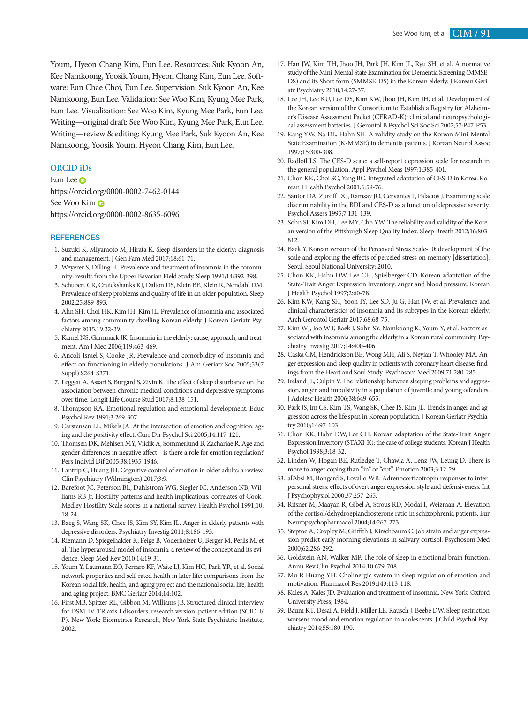Youm, Hyeon Chang Kim, Eun Lee. Resources: Suk Kyoon An, Kee Namkoong, Yoosik Youm, Hyeon Chang Kim, Eun Lee. Software: Eun Chae Choi, Eun Lee. Supervision: Suk Kyoon An, Kee Namkoong, Eun Lee. Validation: See Woo Kim, Kyung Mee Park, Eun Lee. Visualization: See Woo Kim, Kyung Mee Park, Eun Lee. Writing—original draft: See Woo Kim, Kyung Mee Park, Eun Lee. Writing—review & editing: Kyung Mee Park, Suk Kyoon An, Kee Namkoong, Yoosik Youm, Hyeon Chang Kim, Eun Lee.

### **ORCID iDs**

Eun Lee <sub>D</sub> https://orcid.org/0000-0002-7462-0144 See Woo Kim https://orcid.org/0000-0002-8635-6096

### **REFERENCES**

- 1. Suzuki K, Miyamoto M, Hirata K. Sleep disorders in the elderly: diagnosis and management. J Gen Fam Med 2017;18:61-71.
- 2. Weyerer S, Dilling H. Prevalence and treatment of insomnia in the community: results from the Upper Bavarian Field Study. Sleep 1991;14:392-398.
- 3. Schubert CR, Cruickshanks KJ, Dalton DS, Klein BE, Klein R, Nondahl DM. Prevalence of sleep problems and quality of life in an older population. Sleep 2002;25:889-893.
- 4. Ahn SH, Choi HK, Kim JH, Kim JL. Prevalence of insomnia and associated factors among community-dwelling Korean elderly. J Korean Geriatr Psychiatry 2015;19:32-39.
- 5. Kamel NS, Gammack JK. Insomnia in the elderly: cause, approach, and treatment. Am J Med 2006;119:463-469.
- 6. Ancoli-Israel S, Cooke JR. Prevalence and comorbidity of insomnia and effect on functioning in elderly populations. J Am Geriatr Soc 2005;53(7 Suppl):S264-S271.
- 7. Leggett A, Assari S, Burgard S, Zivin K. The effect of sleep disturbance on the association between chronic medical conditions and depressive symptoms over time. Longit Life Course Stud 2017;8:138-151.
- 8. Thompson RA. Emotional regulation and emotional development. Educ Psychol Rev 1991;3:269-307.
- 9. Carstensen LL, Mikels JA. At the intersection of emotion and cognition: aging and the positivity effect. Curr Dir Psychol Sci 2005;14:117-121.
- 10. Thomsen DK, Mehlsen MY, Viidik A, Sommerlund B, Zachariae R. Age and gender differences in negative affect—is there a role for emotion regulation? Pers Individ Dif 2005;38:1935-1946.
- 11. Lantrip C, Huang JH. Cognitive control of emotion in older adults: a review. Clin Psychiatry (Wilmington) 2017;3:9.
- 12. Barefoot JC, Peterson BL, Dahlstrom WG, Siegler IC, Anderson NB, Williams RB Jr. Hostility patterns and health implications: correlates of Cook-Medley Hostility Scale scores in a national survey. Health Psychol 1991;10: 18-24.
- 13. Baeg S, Wang SK, Chee IS, Kim SY, Kim JL. Anger in elderly patients with depressive disorders. Psychiatry Investig 2011;8:186-193.
- 14. Riemann D, Spiegelhalder K, Feige B, Voderholzer U, Berger M, Perlis M, et al. The hyperarousal model of insomnia: a review of the concept and its evidence. Sleep Med Rev 2010;14:19-31.
- 15. Youm Y, Laumann EO, Ferraro KF, Waite LJ, Kim HC, Park YR, et al. Social network properties and self-rated health in later life: comparisons from the Korean social life, health, and aging project and the national social life, health and aging project. BMC Geriatr 2014;14:102.
- 16. First MB, Spitzer RL, Gibbon M, Williams JB. Structured clinical interview for DSM-IV-TR axis I disorders, research version, patient edition (SCID-I/ P). New York: Biometrics Research, New York State Psychiatric Institute, 2002.
- 17. Han JW, Kim TH, Jhoo JH, Park JH, Kim JL, Ryu SH, et al. A normative study of the Mini-Mental State Examination for Dementia Screening (MMSE-DS) and its Short form (SMMSE-DS) in the Korean elderly. J Korean Geriatr Psychiatry 2010;14:27-37.
- 18. Lee JH, Lee KU, Lee DY, Kim KW, Jhoo JH, Kim JH, et al. Development of the Korean version of the Consortium to Establish a Registry for Alzheimer's Disease Assessment Packet (CERAD-K): clinical and neuropsychological assessment batteries. J Gerontol B Psychol Sci Soc Sci 2002;57:P47-P53.
- 19. Kang YW, Na DL, Hahn SH. A validity study on the Korean Mini-Mental State Examination (K-MMSE) in dementia patients. J Korean Neurol Assoc 1997;15:300-308.
- 20. Radloff LS. The CES-D scale: a self-report depression scale for research in the general population. Appl Psychol Meas 1997;1:385-401.
- 21. Chon KK, Choi SC, Yang BC. Integrated adaptation of CES-D in Korea. Korean J Health Psychol 2001;6:59-76.
- 22. Santor DA, Zuroff DC, Ramsay JO, Cervantes P, Palacios J. Examining scale discriminability in the BDI and CES-D as a function of depressive severity. Psychol Assess 1995;7:131-139.
- 23. Sohn SI, Kim DH, Lee MY, Cho YW. The reliability and validity of the Korean version of the Pittsburgh Sleep Quality Index. Sleep Breath 2012;16:803- 812.
- 24. Baek Y. Korean version of the Perceived Stress Scale-10: development of the scale and exploring the effects of perceied stress on memory [dissertation]. Seoul: Seoul National University; 2010.
- 25. Chon KK, Hahn DW, Lee CH, Spielberger CD. Korean adaptation of the State-Trait Anger Expression Inventory: anger and blood pressure. Korean J Health Psychol 1997;2:60-78.
- 26. Kim KW, Kang SH, Yoon IY, Lee SD, Ju G, Han JW, et al. Prevalence and clinical characteristics of insomnia and its subtypes in the Korean elderly. Arch Gerontol Geriatr 2017;68:68-75.
- 27. Kim WJ, Joo WT, Baek J, Sohn SY, Namkoong K, Youm Y, et al. Factors associated with insomnia among the elderly in a Korean rural community. Psychiatry Investig 2017;14:400-406.
- 28. Caska CM, Hendrickson BE, Wong MH, Ali S, Neylan T, Whooley MA. Anger expression and sleep quality in patients with coronary heart disease: findings from the Heart and Soul Study. Psychosom Med 2009;71:280-285.
- 29. Ireland JL, Culpin V. The relationship between sleeping problems and aggression, anger, and impulsivity in a population of juvenile and young offenders. J Adolesc Health 2006;38:649-655.
- 30. Park JS, Im CS, Kim TS, Wang SK, Chee IS, Kim JL. Trends in anger and aggression across the life span in Korean population. J Korean Geriatr Psychiatry 2010;14:97-103.
- 31. Chon KK, Hahn DW, Lee CH. Korean adaptation of the State-Trait Anger Expression Inventory (STAXI-K): the case of college students. Korean J Health Psychol 1998;3:18-32.
- 32. Linden W, Hogan BE, Rutledge T, Chawla A, Lenz JW, Leung D. There is more to anger coping than "in" or "out". Emotion 2003;3:12-29.
- 33. al'Absi M, Bongard S, Lovallo WR. Adrenocorticotropin responses to interpersonal stress: effects of overt anger expression style and defensiveness. Int J Psychophysiol 2000;37:257-265.
- 34. Ritsner M, Maayan R, Gibel A, Strous RD, Modai I, Weizman A. Elevation of the cortisol/dehydroepiandrosterone ratio in schizophrenia patients. Eur Neuropsychopharmacol 2004;14:267-273.
- 35. Steptoe A, Cropley M, Griffith J, Kirschbaum C. Job strain and anger expression predict early morning elevations in salivary cortisol. Psychosom Med 2000;62:286-292.
- 36. Goldstein AN, Walker MP. The role of sleep in emotional brain function. Annu Rev Clin Psychol 2014;10:679-708.
- 37. Mu P, Huang YH. Cholinergic system in sleep regulation of emotion and motivation. Pharmacol Res 2019;143:113-118.
- 38. Kales A, Kales JD. Evaluation and treatment of insomnia. New York: Oxford University Press; 1984.
- 39. Baum KT, Desai A, Field J, Miller LE, Rausch J, Beebe DW. Sleep restriction worsens mood and emotion regulation in adolescents. J Child Psychol Psychiatry 2014;55:180-190.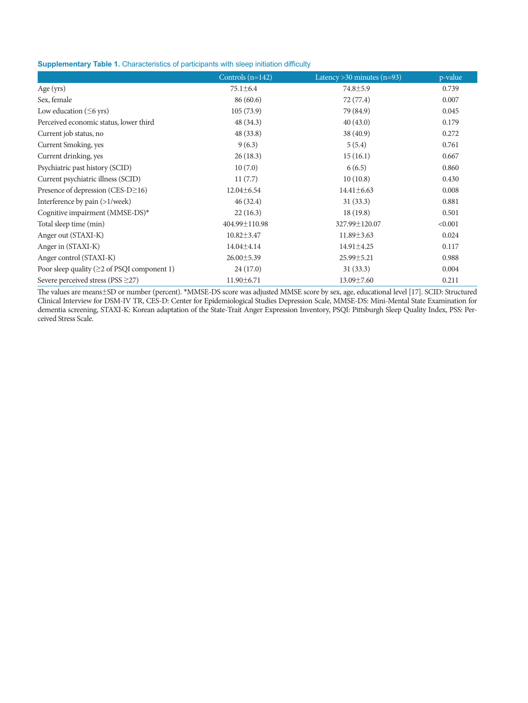**Supplementary Table 1.** Characteristics of participants with sleep initiation difficulty

|                                             | Controls $(n=142)$ | Latency $>$ 30 minutes (n=93) | p-value |
|---------------------------------------------|--------------------|-------------------------------|---------|
| Age (yrs)                                   | $75.1 \pm 6.4$     | $74.8 \pm 5.9$                | 0.739   |
| Sex, female                                 | 86(60.6)           | 72 (77.4)                     | 0.007   |
| Low education $( \leq 6 \text{ yrs})$       | 105(73.9)          | 79 (84.9)                     | 0.045   |
| Perceived economic status, lower third      | 48 (34.3)          | 40(43.0)                      | 0.179   |
| Current job status, no                      | 48 (33.8)          | 38(40.9)                      | 0.272   |
| Current Smoking, yes                        | 9(6.3)             | 5(5.4)                        | 0.761   |
| Current drinking, yes                       | 26(18.3)           | 15(16.1)                      | 0.667   |
| Psychiatric past history (SCID)             | 10(7.0)            | 6(6.5)                        | 0.860   |
| Current psychiatric illness (SCID)          | 11(7.7)            | 10(10.8)                      | 0.430   |
| Presence of depression (CES-D $\geq$ 16)    | $12.04 \pm 6.54$   | $14.41 \pm 6.63$              | 0.008   |
| Interference by pain (>1/week)              | 46(32.4)           | 31(33.3)                      | 0.881   |
| Cognitive impairment (MMSE-DS)*             | 22(16.3)           | 18(19.8)                      | 0.501   |
| Total sleep time (min)                      | 404.99±110.98      | 327.99±120.07                 | < 0.001 |
| Anger out (STAXI-K)                         | $10.82 \pm 3.47$   | $11.89 \pm 3.63$              | 0.024   |
| Anger in (STAXI-K)                          | $14.04 \pm 4.14$   | 14.91±4.25                    | 0.117   |
| Anger control (STAXI-K)                     | $26.00 \pm 5.39$   | $25.99 \pm 5.21$              | 0.988   |
| Poor sleep quality (≥2 of PSQI component 1) | 24(17.0)           | 31(33.3)                      | 0.004   |
| Severe perceived stress (PSS $\geq$ 27)     | $11.90 \pm 6.71$   | 13.09±7.60                    | 0.211   |

The values are means±SD or number (percent). \*MMSE-DS score was adjusted MMSE score by sex, age, educational level [17]. SCID: Structured Clinical Interview for DSM-IV TR, CES-D: Center for Epidemiological Studies Depression Scale, MMSE-DS: Mini-Mental State Examination for dementia screening, STAXI-K: Korean adaptation of the State-Trait Anger Expression Inventory, PSQI: Pittsburgh Sleep Quality Index, PSS: Perceived Stress Scale.